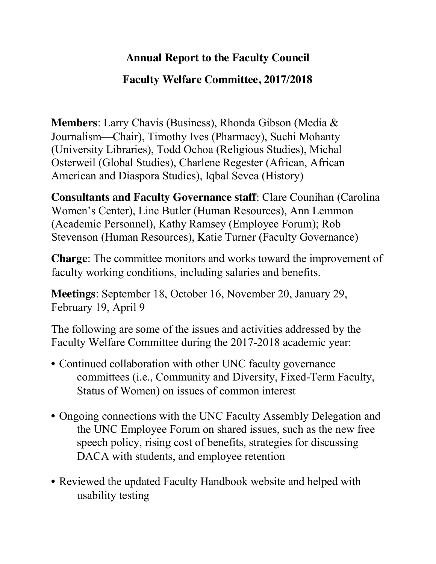## **Annual Report to the Faculty Council**

## **Faculty Welfare Committee, 2017/2018**

**Members**: Larry Chavis (Business), Rhonda Gibson (Media & Journalism—Chair), Timothy Ives (Pharmacy), Suchi Mohanty (University Libraries), Todd Ochoa (Religious Studies), Michal Osterweil (Global Studies), Charlene Regester (African, African American and Diaspora Studies), Iqbal Sevea (History)

**Consultants and Faculty Governance staff**: Clare Counihan (Carolina Women's Center), Linc Butler (Human Resources), Ann Lemmon (Academic Personnel), Kathy Ramsey (Employee Forum); Rob Stevenson (Human Resources), Katie Turner (Faculty Governance)

**Charge**: The committee monitors and works toward the improvement of faculty working conditions, including salaries and benefits.

**Meetings**: September 18, October 16, November 20, January 29, February 19, April 9

The following are some of the issues and activities addressed by the Faculty Welfare Committee during the 2017-2018 academic year:

- Continued collaboration with other UNC faculty governance committees (i.e., Community and Diversity, Fixed-Term Faculty, Status of Women) on issues of common interest
- Ongoing connections with the UNC Faculty Assembly Delegation and the UNC Employee Forum on shared issues, such as the new free speech policy, rising cost of benefits, strategies for discussing DACA with students, and employee retention
- Reviewed the updated Faculty Handbook website and helped with usability testing